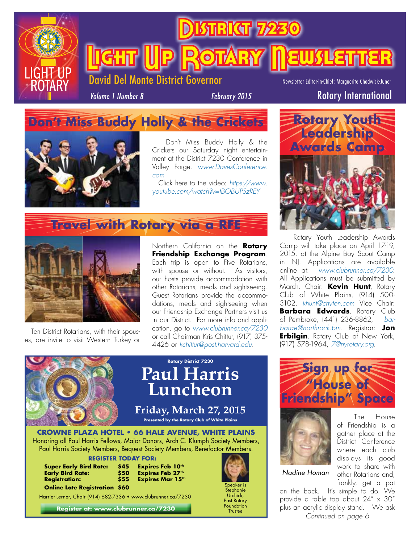

TRICT

**Light (Up Rotary Newsletter** 

David Del Monte District Governor

Newsletter Editor-in-Chief: Marguerite Chadwick-Juner

*Volume 1 Number 8*

*February 2015* Rotary International

# **Don't Miss Buddy Holly & the Crickets**



Don't Miss Buddy Holly & the Crickets our Saturday night entertainment at the District 7230 Conference in Valley Forge. *[www.DavesConference.](www.DavesConference.com) [com](www.DavesConference.com)*

Click here to the video: *[https://www.](https://www.youtube.com/watch?v=tBOBUPSzREY) [youtube.com/watch?v=tBOBUPSzREY](https://www.youtube.com/watch?v=tBOBUPSzREY)*

## **Travel with Rotary via a RFE**



Ten District Rotarians, with their spouses, are invite to visit Western Turkey or

Northern California on the **Rotary Friendship Exchange Program**. Each trip is open to Five Rotarians, with spouse or without. As visitors, our hosts provide accommodation with other Rotarians, meals and sightseeing. Guest Rotarians provide the accommodations, meals and sightseeing when our Friendship Exchange Partners visit us in our District. For more info and application, go to *[www.clubrunner.ca/7230](www.clubrunner.ca/7230 )*  or call Chairman Kris Chittur, (917) 375- 4426 or *kchittur@post.harvard.edu*.



Foundation **Register at: www.clubrunner.ca/7230** Trustee



Rotary Youth Leadership Awards Camp will take place on April 17-19, 2015, at the Alpine Boy Scout Camp in NJ. Applications are available online at: *<www.clubrunner.ca/7230>*. All Applications must be submitted by March. Chair: **Kevin Hunt**, Rotary Club of White Plains, (914) 500- 3102, *khunt@chyten.com* Vice Chair: **Barbara Edwards**, Rotary Club of Pembroke, (441) 236-8862, *barbarae@northrock.bm*. Registrar: **Jon Erbilgin**, Rotary Club of New York, (917) 578-1964, *7@nyrotary.org*.





The House of Friendship is a gather place at the District Conference where each club displays its good work to share with other Rotarians and, frankly, get a pat

*Nadine Homan*

on the back. It's simple to do. We provide a table top about 24" x 30" plus an acrylic display stand. We ask *Continued on page 6*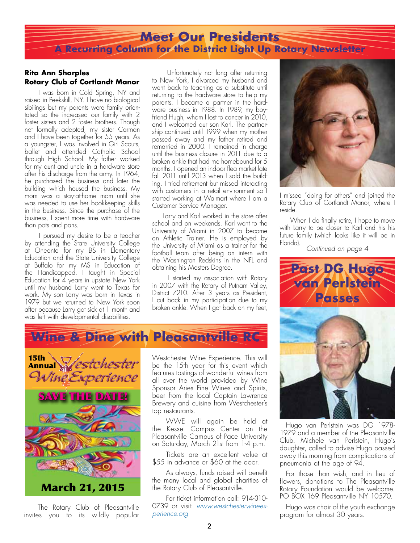### **Meet Our Presidents A Recurring Column for the District Light Up Rotary Newsletter**

#### **Rita Ann Sharples Rotary Club of Cortlandt Manor**

I was born in Cold Spring, NY and raised in Peekskill, NY. I have no biological sibilings but my parents were family orientated so the increased our family with 2 foster sisters and 2 foster brothers. Though not formally adopted, my sister Carman and I have been together for 55 years. As a youngster, I was involved in Girl Scouts, ballet and attended Catholic School through High School. My father worked for my aunt and uncle in a hardware store after his discharge from the army. In 1964, he purchased the business and later the building which housed the business. My mom was a stay-at-home mom until she was needed to use her bookkeeping skills in the business. Since the purchase of the business, I spent more time with hardware than pots and pans.

 I pursued my desire to be a teacher by attending the State University College at Oneonta for my BS in Elementary Education and the State University College at Buffalo for my MS in Education of the Handicapped. I taught in Special Education for 4 years in upstate New York until my husband Larry went to Texas for work. My son Larry was born in Texas in 1979 but we returned to New York soon after because Larry got sick at 1 month and was left with developmental disabilities.

 Unfortunately not long after returning to New York, I divorced my husband and went back to teaching as a substitute until returning to the hardware store to help my parents. I became a partner in the hardware business in 1988. In 1989, my boyfriend Hugh, whom I lost to cancer in 2010, and I welcomed our son Karl. The partnership continued until 1999 when my mother passed away and my father retired and remarried in 2000. I remained in charge until the business closure in 2011 due to a broken ankle that had me homebound for 5 months. I opened an indoor flea market late fall 2011 until 2013 when I sold the building. I tried retirement but missed interacting with customers in a retail environment so I started working at Walmart where I am a Customer Service Manager.

 Larry and Karl worked in the store after school and on weekends. Karl went to the University of Miami in 2007 to become an Athletic Trainer. He is employed by the University of Miami as a trainer for the football team after being an intern with the Washington Redskins in the NFL and obtaining his Masters Degree.

 I started my association with Rotary in 2007 with the Rotary of Putnam Valley, District 7210. After 3 years as President, I cut back in my participation due to my broken ankle. When I got back on my feet,





The Rotary Club of Pleasantville invites you to its wildly popular

Westchester Wine Experience. This will be the 15th year for this event which features tastings of wonderful wines from all over the world provided by Wine Sponsor Aries Fine Wines and Spirits, beer from the local Captain Lawrence Brewery and cuisine from Westchester's top restaurants.

WWE will again be held at the Kessel Campus Center on the Pleasantville Campus of Pace University on Saturday, March 21st from 1-4 p.m.

Tickets are an excellent value at \$55 in advance or \$60 at the door.

As always, funds raised will benefit the many local and global charities of the Rotary Club of Pleasantville.

For ticket information call: 914-310- 0739 or visit: *[www.westchesterwineex](www.westchesterwineexperience.org)[perience.org](www.westchesterwineexperience.org)*



I missed "doing for others" and joined the Rotary Club of Cortlandt Manor, where I reside.

 When I do finally retire, I hope to move with Larry to be closer to Karl and his his future family (which looks like it will be in Florida).

*Continued on page 4*



Hugo van Perlstein was DG 1978- 1979 and a member of the Pleasantville Club. Michele van Perlstein, Hugo's daughter, called to advise Hugo passed away this morning from complications of pneumonia at the age of 94.

For those than wish, and in lieu of flowers, donations to The Pleasantville Rotary Foundation would be welcome. PO BOX 169 Pleasantville NY 10570.

Hugo was chair of the youth exchange program for almost 30 years.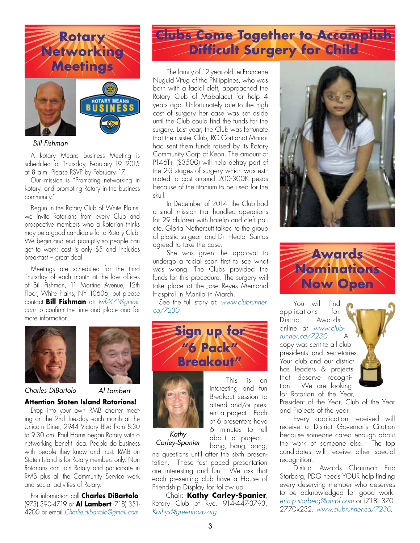

#### *Bill Fishman*

A Rotary Means Business Meeting is scheduled for Thursday, February 19, 2015 at 8 a.m. Please RSVP by February 17.

Our mission is "Promoting networking in Rotary, and promoting Rotary in the business community."

Begun in the Rotary Club of White Plains, we invite Rotarians from every Club and prospective members who a Rotarian thinks may be a good candidate for a Rotary Club. We begin and end promptly so people can get to work; cost is only \$5 and includes breakfast – great deal!

Meetings are scheduled for the third Thursday of each month at the law offices of Bill Fishman, 11 Martine Avenue, 12th Floor, White Plains, NY 10606, but please contact **Bill Fishman** at: *lwf7471@gmail. com* to confirm the time and place and for more information.





*Charles DiBartolo Al Lambert*

Drop into your own RMB charter meeting on the 2nd Tuesday each month at the Unicorn Diner, 2944 Victory Blvd from 8:30 to 9:30 am. Paul Harris began Rotary with a networking benefit idea. People do business with people they know and trust. RMB on Staten Island is for Rotary members only. Non Rotarians can join Rotary and participate in RMB plus all the Community Service work and social activities of Rotary.

**Attention Staten Island Rotarians!** 

For information call **Charles DiBartolo**, (973) 390-4719 or **Al Lambert** (718) 351- 4200 or email *Charlie.dibartolo@gmail.com*.

## **Clubs Come Together to Accomplish Difficult Surgery for Child**

The family of 12 year-old Lei Francene Nuguid Vitug of the Philippines, who was born with a facial cleft, approached the Rotary Club of Mabalacut for help 4 years ago. Unfortunately due to the high cost of surgery her case was set aside until the Club could find the funds for the surgery. Last year, the Club was fortunate that their sister Club, RC Cortlandt Manor had sent them funds raised by its Rotary Community Corp of Keon. The amount of P146T+ (\$3500) will help defray part of the 2-3 stages of surgery which was estimated to cost around 200-300K pesos because of the titanium to be used for the skull.

In December of 2014, the Club had a small mission that handled operations for 29 children with harelip and cleft palate. Gloria Nethercutt talked to the group of plastic surgeon and Dr. Hector Santos agreed to take the case.

She was given the approval to undergo a facial scan first to see what was wrong. The Clubs provided the funds for this procedure. The surgery will take place at the Jose Reyes Memorial Hospital in Manila in March.

See the full story at: *[www.clubrunner.](www.clubrunner.ca/7230) [ca/7230](www.clubrunner.ca/7230)*



This is an interesting and fun Breakout session to attend and/or present a project. Each of 6 presenters have 6 minutes to tell about a project…



*Kathy Carley-Spanier*

bang, bang, bang, no questions until after the sixth presentation. These fast paced presentation are interesting and fun. We ask that each presenting club have a House of Friendship Display for follow up.

Chair: **Kathy Carley-Spanier**, Rotary Club of Rye, 914-447-3793, *Kathys@greenhosp.org*.





You will find applications for District Awards online at *[www.club](www.clubrunner.ca/7230)[runner.ca/7230](www.clubrunner.ca/7230)*. A copy was sent to all club presidents and secretaries. Your club and our district has leaders & projects that deserve recognition. We are looking for Rotarian of the Year,



President of the Year, Club of the Year and Projects of the year.

Every application received will receive a District Governor's Citation because someone cared enough about the work of someone else. The top candidates will receive other special recognition.

District Awards Chairman Eric Storberg, PDG needs YOUR help finding every deserving member who deserves to be acknowledged for good work. *eric.p.storberg@ampf.com* or (718) 370- 2770x232. *<www.clubrunner.ca/7230>*.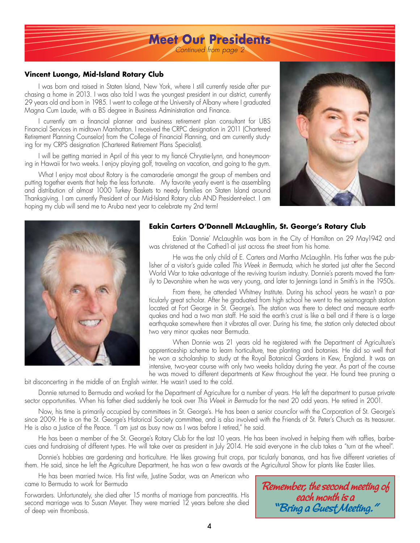### **Meet Our Presidents** *Continued from page 2*

**Vincent Luongo, Mid-Island Rotary Club**

I was born and raised in Staten Island, New York, where I still currently reside after purchasing a home in 2013. I was also told I was the youngest president in our district, currently 29 years old and born in 1985. I went to college at the University of Albany where I graduated Magna Cum Laude, with a BS degree in Business Administration and Finance.

I currently am a financial planner and business retirement plan consultant for UBS Financial Services in midtown Manhattan. I received the CRPC designation in 2011 (Chartered Retirement Planning Counselor) from the College of Financial Planning, and am currently studying for my CRPS designation (Chartered Retirement Plans Specialist).

I will be getting married in April of this year to my fiancé Chrystie-Lynn, and honeymooning in Hawaii for two weeks. I enjoy playing golf, traveling on vacation, and going to the gym.

What I enjoy most about Rotary is the camaraderie amongst the group of members and putting together events that help the less fortunate. My favorite yearly event is the assembling and distribution of almost 1000 Turkey Baskets to needy families on Staten Island around Thanksgiving. I am currently President of our Mid-Island Rotary club AND President-elect. I am hoping my club will send me to Aruba next year to celebrate my 2nd term!





#### **Eakin Carters O'Donnell McLaughlin, St. George's Rotary Club**

Eakin 'Donnie' McLaughlin was born in the City of Hamilton on 29 May1942 and was christened at the Cathed1·al just across the street from his home.

He was the only child of E. Carters and Martha McLaughlin. His father was the publisher of a visitor's guide called *This Week in Bermuda*, which he started just after the Second World War to take advantage of the reviving tourism industry. Donnie's parents moved the family to Devonshire when he was very young, and later to Jennings Land in Smith's in the 1950s.

From there, he attended Whitney Institute. During his school years he wasn't a particularly great scholar. After he graduated from high school he went to the seismograph station located at Fort George in St. George's. The station was there to detect and measure earthquakes and had a two man staff. He said the earth's crust is like a bell and if there is a large earthquake somewhere then it vibrates all over. During his time, the station only detected about two very minor quakes near Bermuda.

When Donnie was 21 years old he registered with the Department of Agriculture's apprenticeship scheme to learn horticulture, tree planting and botanies. He did so well that he won a scholarship to study at the Royal Botanical Gardens in Kew, England. It was an intensive, two-year course with only two weeks holiday during the year. As part of the course he was moved to different departments at Kew throughout the year. He found tree pruning a

bit disconcerting in the middle of an English winter. He wasn't used to the cold.

Donnie returned to Bermuda and worked for the Department of Agriculture for a number of years. He left the department to pursue private sector opportunities. When his father died suddenly he took over *This Week in Bermuda* for the next 20 odd years. He retired in 2001.

Now, his time is primarily occupied by committees in St. George's. He has been a senior councilor with the Corporation of St. George's since 2009. He is on the St. George's Historical Society committee, and is also involved with the Friends of St. Peter's Church as its treasurer. He is also a Justice of the Peace. "I am just as busy now as I was before I retired," he said.

He has been a member of the St. George's Rotary Club for the last 10 years. He has been involved in helping them with raffies, barbecues and fundraising of different types. He will take over as president in July 2014. He said everyone in the club takes a "turn at the wheel".

Donnie's hobbies are gardening and horticulture. He likes growing fruit crops, par ticularly bananas, and has five different varieties of them. He said, since he left the Agriculture Department, he has won a few awards at the Agricultural Show for plants like Easter lilies.

He has been married twice. His first wife, Justine Sadar, was an American who came to Bermuda to work for Bermuda

Forwarders. Unfortunately, she died after 15 months of marriage from pancreatitis. His second marriage was to Susan Meyer. They were married 12 years before she died of deep vein thrombosis.

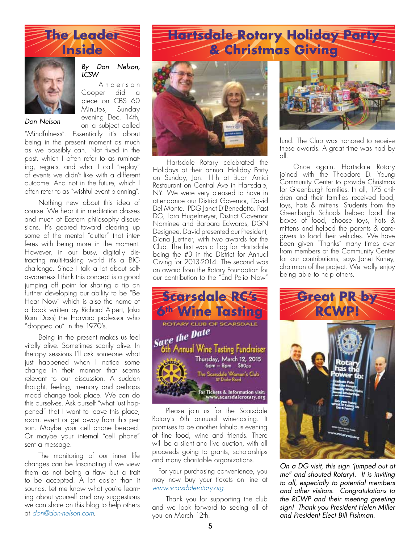



*Don Nelson*

#### *By Don Nelson, LCSW*

A n d e r s o n Cooper did a piece on CBS 60 Minutes, Sunday evening Dec. 14th, on a subject called

"Mindfulness". Essentially it's about being in the present moment as much as we possibly can. Not fixed in the past, which I often refer to as ruminating, regrets, and what I call "replay" of events we didn't like with a different outcome. And not in the future, which I often refer to as "wishful event planning".

Nothing new about this idea of course. We hear it in meditation classes and much of Eastern philosophy discussions. It's geared toward clearing up some of the mental "clutter" that interferes with being more in the moment. However, in our busy, digitally distracting multi-tasking world it's a BIG challenge. Since I talk a lot about selfawareness I think this concept is a good jumping off point for sharing a tip on further developing our ability to be "Be Hear Now" which is also the name of a book written by Richard Alpert, (aka Ram Dass) the Harvard professor who "dropped ou" in the 1970's.

Being in the present makes us feel vitally alive. Sometimes scarily alive. In therapy sessions I'll ask someone what just happened when I notice some change in their manner that seems relevant to our discussion. A sudden thought, feeling, memory and perhaps mood change took place. We can do this ourselves. Ask ourself "what just happened" that I want to leave this place, room, event or get away from this person. Maybe your cell phone beeped. Or maybe your internal "cell phone" sent a message.

The monitoring of our inner life changes can be fascinating if we view them as not being a flaw but a trait to be accepted. A lot easier than it sounds. Let me know what you're learning about yourself and any suggestions we can share on this blog to help others at *don@don-nelson.com*.



Hartsdale Rotary celebrated the Holidays at their annual Holiday Party on Sunday, Jan. 11th at Buon Amici Restaurant on Central Ave in Hartsdale, NY. We were very pleased to have in attendance our District Governor, David Del Monte, PDG Janet DiBenedetto, Past DG, Lora Hugelmeyer, District Governor Nominee and Barbara Edwards, DGN Designee. David presented our President, Diana Juettner, with two awards for the Club. The first was a flag for Hartsdale being the #3 in the District for Annual Giving for 2013-2014. The second was an award from the Rotary Foundation for our contribution to the "End Polio Now"



Please join us for the Scarsdale Rotary's 6th annuual wine-tasting. It promises to be another fabulous evening of fine food, wine and friends. There will be a silent and live auction, with all proceeds going to grants, scholarships and many charitable organizations.

For your purchasing convenience, you may now buy your tickets on line at *<www.scarsdalerotary.org>*.

Thank you for supporting the club and we look forward to seeing all of you on March 12th.



**Hartsdale Rotary Holiday Party**

fund. The Club was honored to receive these awards. A great time was had by all.

Once again, Hartsdale Rotary joined with the Theodore D. Young Community Center to provide Christmas for Greenburgh families. In all, 175 children and their families received food, toys, hats & mittens. Students from the Greenburgh Schools helped load the boxes of food, choose toys, hats & mittens and helped the parents & caregivers to load their vehicles. We have been given "Thanks" many times over from members of the Community Center for our contributions, says Janet Kuney, chairman of the project. We really enjoy being able to help others.



*On a DG visit, this sign 'jumped out at me" and shouted Rotary!. It is inviting to all, especially to potential members and other visitors. Congratulations to the RCWP and their meeting greeting sign! Thank you President Helen Miller and President Elect Bill Fishman.*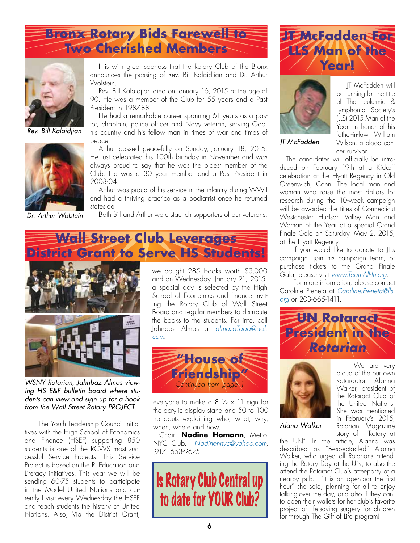### **Bronx Rotary Bids Farewell to Two Cherished Members**



*Rev. Bill Kalaidjian*



*Dr. Arthur Wolstein*

It is with great sadness that the Rotary Club of the Bronx announces the passing of Rev. Bill Kalaidjian and Dr. Arthur Wolstein.

Rev. Bill Kalaidjian died on January 16, 2015 at the age of 90. He was a member of the Club for 55 years and a Past President in 1987-88.

He had a remarkable career spanning 61 years as a pastor, chaplain, police officer and Navy veteran, serving God, his country and his fellow man in times of war and times of peace.

Arthur passed peacefully on Sunday, January 18, 2015. He just celebrated his 100th birthday in November and was always proud to say that he was the oldest member of the Club. He was a 30 year member and a Past President in 2003-04.

Arthur was proud of his service in the infantry during WWII and had a thriving practice as a podiatrist once he returned stateside.

Both Bill and Arthur were staunch supporters of our veterans.

### **Wall Street Club Leverages District Grant to Serve HS Students!**



*WSNY Rotarian, Jahnbaz Almas viewing HS E&F bulletin board where students can view and sign up for a book from the Wall Street Rotary PROJECT.* 

The Youth Leadership Council initiatives with the High School of Economics and Finance (HSEF) supporting 850 students is one of the RCWS most successful Service Projects. This Service Project is based on the RI Education and Literacy initiatives. This year we will be sending 60-75 students to participate in the Model United Nations and currently I visit every Wednesday the HSEF and teach students the history of United Nations. Also, Via the District Grant,

we bought 285 books worth \$3,000 and on Wednesday, January 21, 2015, a special day is selected by the High School of Economics and finance inviting the Rotary Club of Wall Street Board and regular members to distribute the books to the students. For info, call Jahnbaz Almas at *almasaTaaa@aol. com*.



everyone to make a 8 ½ x 11 sign for the acrylic display stand and 50 to 100 handouts explaining who, what, why, when, where and how.

Chair: **Nadine Homann**, Metro-NYC Club. *Nadinehnyc@yahoo.com*, (917) 653-9675.







*JT McFadden*

 JT McFadden will be running for the title of The Leukemia & Lymphoma Society's (LLS) 2015 Man of the Year, in honor of his father-in-law, William Wilson, a blood cancer survivor.

The candidates will officially be introduced on February 19th at a Kickoff celebration at the Hyatt Regency in Old Greenwich, Conn. The local man and woman who raise the most dollars for research during the 10-week campaign will be awarded the titles of Connecticut Westchester Hudson Valley Man and Woman of the Year at a special Grand Finale Gala on Saturday, May 2, 2015, at the Hyatt Regency.

If you would like to donate to JT's campaign, join his campaign team, or purchase tickets to the Grand Finale Gala, please visit *[www.TeamAll-In.org.](www.TeamAll-In.org)*

For more information, please contact Caroline Preneta at *Caroline.Preneta@lls. org* or 203-665-1411.





*Alana Walker*

We are very proud of the our own Rotaractor Alanna Walker, president of the Rotaract Club of the United Nations. She was mentioned in February's 2015, Rotarian Magazine story of "Rotary at

the UN". In the article, Alanna was described as "Bespectacled" Alanna Walker, who urged all Rotarians attending the Rotary Day at the UN, to also the attend the Rotaract Club's after-party at a nearby pub. "It is an open-bar the first hour" she said, planning for all to enjoy talking-over the day, and also if they can, to open their wallets for her club's favorite project of life-saving surgery for children for through The Gift of Life program!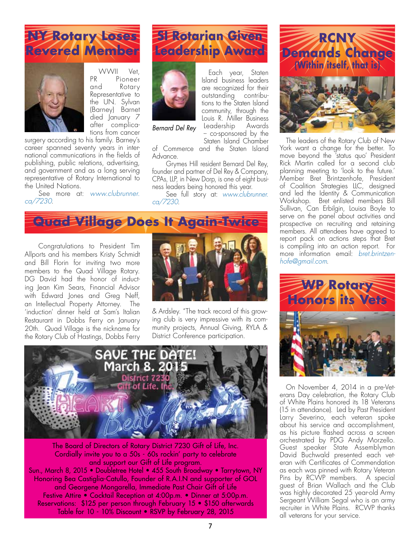### **NY Rotary Loses Revered Member**



WWII Vet, PR Pioneer and Rotary Representative to the UN. Sylvan (Barney) Barnet died January 7 after complications from cancer

surgery according to his family. Barney's career spanned seventy years in international communications in the fields of publishing, public relations, advertising, and government and as a long serving representative of Rotary International to the United Nations.

See more at: *[www.clubrunner.](www.clubrunner.ca/7230) [ca/7230](www.clubrunner.ca/7230)*.





Each year, Staten Island business leaders are recognized for their outstanding contributions to the Staten Island community, through the Louis R. Miller Business Leadership -- co-sponsored by the Staten Island Chamber

*Bernard Del Rey*

of Commerce and the Staten Island Advance.

Grymes Hill resident Bernard Del Rey, founder and partner of Del Rey & Company, CPAs, LLP, in New Dorp, is one of eight business leaders being honored this year.

See full story at: *[www.clubrunner.](www.clubrunner.ca/7230) [ca/7230](www.clubrunner.ca/7230)*.

# **Quad Village Does It Again-Twice**

Congratulations to President Tim Allports and his members Kristy Schmidt and Bill Florin for inviting two more members to the Quad Village Rotary. DG David had the honor of inducting Jean Kim Sears, Financial Advisor with Edward Jones and Greg Neff, an Intellectual Property Attorney. The 'induction' dinner held at Sam's Italian Restaurant in Dobbs Ferry on January 20th. Quad Village is the nickname for the Rotary Club of Hastings, Dobbs Ferry



& Ardsley. "The track record of this growing club is very impressive with its community projects, Annual Giving, RYLA & District Conference participation.



The Board of Directors of Rotary District 7230 Gift of Life, Inc. Cordially invite you to a 50s - 60s rockin' party to celebrate and support our Gift of Life program. Sun., March 8, 2015 • Doubletree Hotel • 455 South Broadway • Tarrytown, NY Honoring Bea Castiglia-Catullo, Founder of R.A.I.N and supporter of GOL and Georgene Mongarella, Immediate Past Chair Gift of Life Festive Attire • Cocktail Reception at 4:00p.m. • Dinner at 5:00p.m. Reservations: \$125 per person through February 15 • \$150 afterwards Table for 10 - 10% Discount • RSVP by February 28, 2015





The leaders of the Rotary Club of New York want a change for the better. To move beyond the 'status quo' President Rick Martin called for a second club planning meeting to 'look to the future.' Member Bret Brintzenhofe, President of Coalition Strategies LLC, designed and led the Identity & Communication Workshop. Bret enlisted members Bill Sullivan, Can Erbilgin, Louisa Boyle to serve on the panel about activities and prospective on recruiting and retaining members. All attendees have agreed to report pack on actions steps that Bret is compiling into an action report. For more information email: *bret.brintzenhofe@gmail.com*.



On November 4, 2014 in a pre-Veterans Day celebration, the Rotary Club of White Plains honored its 18 Veterans (15 in attendance). Led by Past President Larry Severino, each veteran spoke about his service and accomplishment, as his picture flashed across a screen orchestrated by PDG Andy Morzello. Guest speaker State Assemblyman David Buchwald presented each veteran with Certificates of Commendation as each was pinned with Rotary Veteran Pins by RCWP members. A special guest of Brian Wallach and the Club was highly decorated 25 year-old Army Sergeant William Segal who is an army recruiter in White Plains. RCWP thanks all veterans for your service.